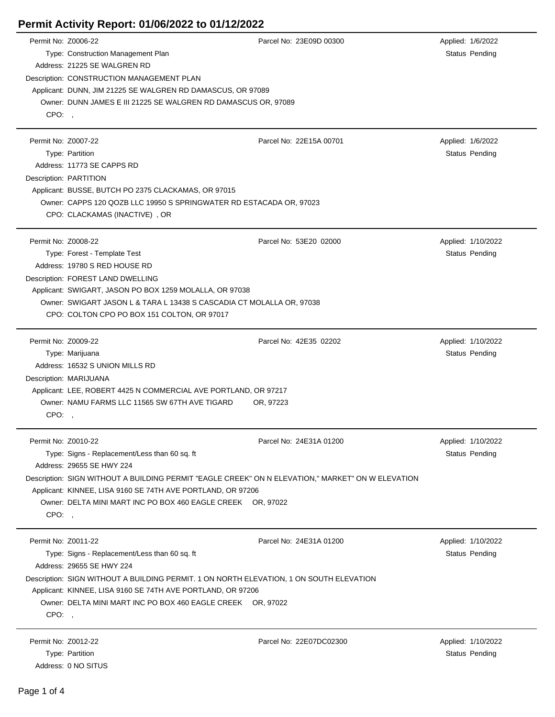## **Permit Activity Report: 01/06/2022 to 01/12/2022**

| Permit No: Z0006-22          | Type: Construction Management Plan<br>Address: 21225 SE WALGREN RD                                                                                                                                                                                                                                            | Parcel No: 23E09D 00300             | Applied: 1/6/2022<br>Status Pending         |
|------------------------------|---------------------------------------------------------------------------------------------------------------------------------------------------------------------------------------------------------------------------------------------------------------------------------------------------------------|-------------------------------------|---------------------------------------------|
| CPO:,                        | Description: CONSTRUCTION MANAGEMENT PLAN<br>Applicant: DUNN, JIM 21225 SE WALGREN RD DAMASCUS, OR 97089<br>Owner: DUNN JAMES E III 21225 SE WALGREN RD DAMASCUS OR, 97089                                                                                                                                    |                                     |                                             |
| Permit No: Z0007-22          | Type: Partition<br>Address: 11773 SE CAPPS RD<br>Description: PARTITION<br>Applicant: BUSSE, BUTCH PO 2375 CLACKAMAS, OR 97015<br>Owner: CAPPS 120 QOZB LLC 19950 S SPRINGWATER RD ESTACADA OR, 97023<br>CPO: CLACKAMAS (INACTIVE), OR                                                                        | Parcel No: 22E15A 00701             | Applied: 1/6/2022<br>Status Pending         |
| Permit No: Z0008-22          | Type: Forest - Template Test<br>Address: 19780 S RED HOUSE RD<br>Description: FOREST LAND DWELLING<br>Applicant: SWIGART, JASON PO BOX 1259 MOLALLA, OR 97038<br>Owner: SWIGART JASON L & TARA L 13438 S CASCADIA CT MOLALLA OR, 97038<br>CPO: COLTON CPO PO BOX 151 COLTON, OR 97017                         | Parcel No: 53E20 02000              | Applied: 1/10/2022<br>Status Pending        |
| Permit No: Z0009-22<br>CPO:, | Type: Marijuana<br>Address: 16532 S UNION MILLS RD<br>Description: MARIJUANA<br>Applicant: LEE, ROBERT 4425 N COMMERCIAL AVE PORTLAND, OR 97217<br>Owner: NAMU FARMS LLC 11565 SW 67TH AVE TIGARD                                                                                                             | Parcel No: 42E35 02202<br>OR, 97223 | Applied: 1/10/2022<br>Status Pending        |
| Permit No: Z0010-22<br>CPO:  | Type: Signs - Replacement/Less than 60 sq. ft<br>Address: 29655 SE HWY 224<br>Description: SIGN WITHOUT A BUILDING PERMIT "EAGLE CREEK" ON N ELEVATION," MARKET" ON W ELEVATION<br>Applicant: KINNEE, LISA 9160 SE 74TH AVE PORTLAND, OR 97206<br>Owner: DELTA MINI MART INC PO BOX 460 EAGLE CREEK OR, 97022 | Parcel No: 24E31A 01200             | Applied: 1/10/2022<br>Status Pending        |
| Permit No: Z0011-22<br>CPO:, | Type: Signs - Replacement/Less than 60 sq. ft<br>Address: 29655 SE HWY 224<br>Description: SIGN WITHOUT A BUILDING PERMIT. 1 ON NORTH ELEVATION, 1 ON SOUTH ELEVATION<br>Applicant: KINNEE, LISA 9160 SE 74TH AVE PORTLAND, OR 97206<br>Owner: DELTA MINI MART INC PO BOX 460 EAGLE CREEK OR, 97022           | Parcel No: 24E31A 01200             | Applied: 1/10/2022<br><b>Status Pending</b> |
| Permit No: Z0012-22          | Type: Partition<br>Address: 0 NO SITUS                                                                                                                                                                                                                                                                        | Parcel No: 22E07DC02300             | Applied: 1/10/2022<br>Status Pending        |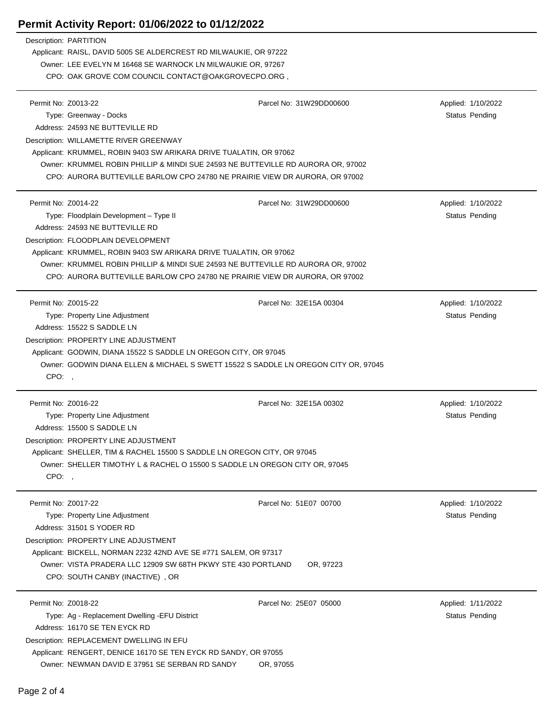## **Permit Activity Report: 01/06/2022 to 01/12/2022**

Description: PARTITION Applicant: RAISL, DAVID 5005 SE ALDERCREST RD MILWAUKIE, OR 97222 Owner: LEE EVELYN M 16468 SE WARNOCK LN MILWAUKIE OR, 97267 CPO: OAK GROVE COM COUNCIL CONTACT@OAKGROVECPO.ORG , Permit No: Z0013-22 Parcel No: 31W29DD00600 Applied: 1/10/2022 Type: Greenway - Docks **Status Pending** Status Pending Status Pending Status Pending Status Pending Status Pending Address: 24593 NE BUTTEVILLE RD Description: WILLAMETTE RIVER GREENWAY Applicant: KRUMMEL, ROBIN 9403 SW ARIKARA DRIVE TUALATIN, OR 97062 Owner: KRUMMEL ROBIN PHILLIP & MINDI SUE 24593 NE BUTTEVILLE RD AURORA OR, 97002 CPO: AURORA BUTTEVILLE BARLOW CPO 24780 NE PRAIRIE VIEW DR AURORA, OR 97002 Permit No: Z0014-22 Parcel No: 31W29DD00600 Applied: 1/10/2022 Type: Floodplain Development – Type II Status Pending Status Pending Status Pending Address: 24593 NE BUTTEVILLE RD Description: FLOODPLAIN DEVELOPMENT Applicant: KRUMMEL, ROBIN 9403 SW ARIKARA DRIVE TUALATIN, OR 97062 Owner: KRUMMEL ROBIN PHILLIP & MINDI SUE 24593 NE BUTTEVILLE RD AURORA OR, 97002 CPO: AURORA BUTTEVILLE BARLOW CPO 24780 NE PRAIRIE VIEW DR AURORA, OR 97002 Permit No: Z0015-22 Parcel No: 32E15A 00304 Applied: 1/10/2022 Type: Property Line Adjustment Number of Contract Contract Contract Contract Contract Contract Contract Contract Contract Contract Contract Contract Contract Contract Contract Contract Contract Contract Contract Contract C Address: 15522 S SADDLE LN Description: PROPERTY LINE ADJUSTMENT Applicant: GODWIN, DIANA 15522 S SADDLE LN OREGON CITY, OR 97045 Owner: GODWIN DIANA ELLEN & MICHAEL S SWETT 15522 S SADDLE LN OREGON CITY OR, 97045 CPO: , Permit No: Z0016-22 Parcel No: 32E15A 00302 Applied: 1/10/2022 Type: Property Line Adjustment Number of Contract Contract Contract Contract Contract Contract Contract Contract Contract Contract Contract Contract Contract Contract Contract Contract Contract Contract Contract Contract C Address: 15500 S SADDLE LN Description: PROPERTY LINE ADJUSTMENT Applicant: SHELLER, TIM & RACHEL 15500 S SADDLE LN OREGON CITY, OR 97045 Owner: SHELLER TIMOTHY L & RACHEL O 15500 S SADDLE LN OREGON CITY OR, 97045 CPO: , Permit No: Z0017-22 Parcel No: 51E07 00700 Applied: 1/10/2022 Type: Property Line Adjustment National Active Pending Status Pending Status Pending Status Pending Address: 31501 S YODER RD Description: PROPERTY LINE ADJUSTMENT Applicant: BICKELL, NORMAN 2232 42ND AVE SE #771 SALEM, OR 97317 Owner: VISTA PRADERA LLC 12909 SW 68TH PKWY STE 430 PORTLAND OR, 97223 CPO: SOUTH CANBY (INACTIVE) , OR Permit No: Z0018-22 Parcel No: 25E07 05000 Applied: 1/11/2022 Type: Ag - Replacement Dwelling -EFU District Status Pending Status Pending Status Pending Address: 16170 SE TEN EYCK RD Description: REPLACEMENT DWELLING IN EFU

Applicant: RENGERT, DENICE 16170 SE TEN EYCK RD SANDY, OR 97055